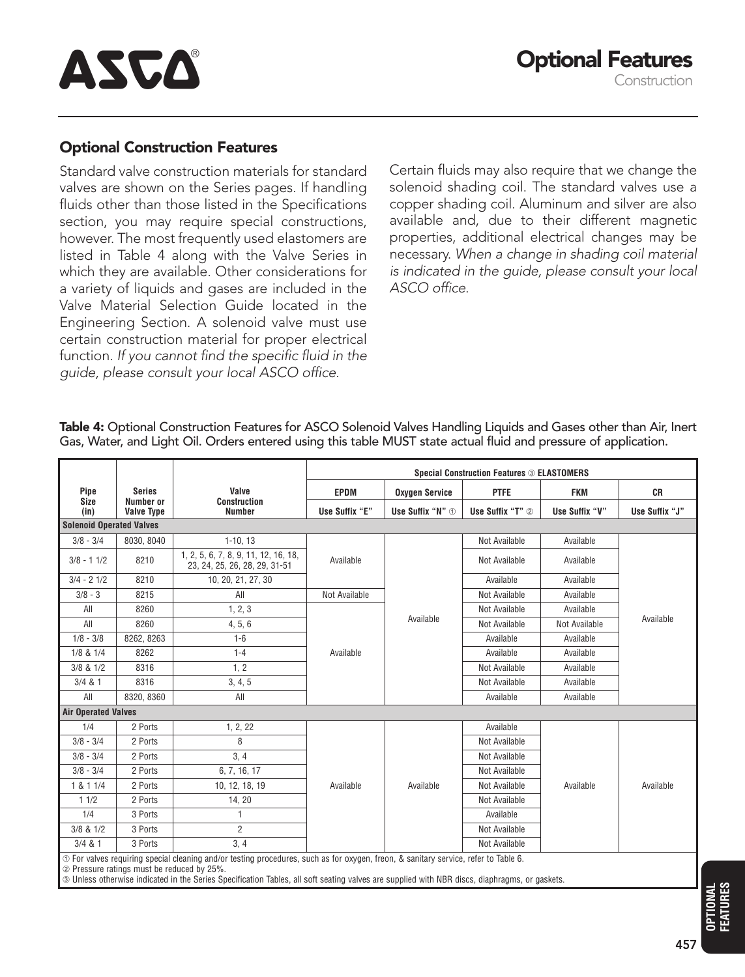

### **Optional Construction Features**

Standard valve construction materials for standard valves are shown on the Series pages. If handling fluids other than those listed in the Specifications section, you may require special constructions, however. The most frequently used elastomers are listed in Table 4 along with the Valve Series in which they are available. Other considerations for a variety of liquids and gases are included in the Valve Material Selection Guide located in the Engineering Section. A solenoid valve must use certain construction material for proper electrical function. *If you cannot find the specific fluid in the guide, please consult your local ASCO office.*

Certain fluids may also require that we change the solenoid shading coil. The standard valves use a copper shading coil. Aluminum and silver are also available and, due to their different magnetic properties, additional electrical changes may be necessary. *When a change in shading coil material is indicated in the guide, please consult your local ASCO office*.

**Table 4:** Optional Construction Features for ASCO Solenoid Valves Handling Liquids and Gases other than Air, Inert Gas, Water, and Light Oil. Orders entered using this table MUST state actual fluid and pressure of application.

|                                                                                                                            |                                |                                                                       | <b>Special Construction Features 3 ELASTOMERS</b> |                       |                  |                |                |  |
|----------------------------------------------------------------------------------------------------------------------------|--------------------------------|-----------------------------------------------------------------------|---------------------------------------------------|-----------------------|------------------|----------------|----------------|--|
| Pipe                                                                                                                       | <b>Series</b>                  | Valve                                                                 | <b>EPDM</b>                                       | <b>Oxygen Service</b> | <b>PTFE</b>      | <b>FKM</b>     | CR             |  |
| <b>Size</b><br>(in)                                                                                                        | Number or<br><b>Valve Type</b> | <b>Construction</b><br><b>Number</b>                                  | Use Suffix "E"                                    | Use Suffix "N" 1      | Use Suffix "T" 2 | Use Suffix "V" | Use Suffix "J" |  |
| <b>Solenoid Operated Valves</b>                                                                                            |                                |                                                                       |                                                   |                       |                  |                |                |  |
| $3/8 - 3/4$                                                                                                                | 8030, 8040                     | $1-10, 13$                                                            |                                                   |                       | Not Available    | Available      |                |  |
| $3/8 - 11/2$                                                                                                               | 8210                           | 1, 2, 5, 6, 7, 8, 9, 11, 12, 16, 18,<br>23, 24, 25, 26, 28, 29, 31-51 | Available                                         |                       | Not Available    | Available      |                |  |
| $3/4 - 21/2$                                                                                                               | 8210                           | 10, 20, 21, 27, 30                                                    |                                                   |                       | Available        | Available      |                |  |
| $3/8 - 3$                                                                                                                  | 8215                           | All                                                                   | Not Available                                     |                       | Not Available    | Available      |                |  |
| All                                                                                                                        | 8260                           | 1, 2, 3                                                               |                                                   |                       | Not Available    | Available      |                |  |
| All                                                                                                                        | 8260                           | 4, 5, 6                                                               |                                                   | Available             | Not Available    | Not Available  | Available      |  |
| $1/8 - 3/8$                                                                                                                | 8262, 8263                     | $1 - 6$                                                               |                                                   |                       | Available        | Available      |                |  |
| 1/8 & 1/4                                                                                                                  | 8262                           | $1 - 4$                                                               | Available                                         |                       | Available        | Available      |                |  |
| 3/8 & 1/2                                                                                                                  | 8316                           | 1, 2                                                                  |                                                   |                       | Not Available    | Available      |                |  |
| 3/4 & 81                                                                                                                   | 8316                           | 3, 4, 5                                                               |                                                   |                       | Not Available    | Available      |                |  |
| All                                                                                                                        | 8320, 8360                     | All                                                                   |                                                   |                       | Available        | Available      |                |  |
| <b>Air Operated Valves</b>                                                                                                 |                                |                                                                       |                                                   |                       |                  |                |                |  |
| 1/4                                                                                                                        | 2 Ports                        | 1, 2, 22                                                              |                                                   |                       | Available        |                |                |  |
| $3/8 - 3/4$                                                                                                                | 2 Ports                        | 8                                                                     |                                                   |                       | Not Available    |                |                |  |
| $3/8 - 3/4$                                                                                                                | 2 Ports                        | 3, 4                                                                  |                                                   |                       | Not Available    |                |                |  |
| $3/8 - 3/4$                                                                                                                | 2 Ports                        | 6, 7, 16, 17                                                          |                                                   |                       | Not Available    |                |                |  |
| 1 & 1 1/4                                                                                                                  | 2 Ports                        | 10, 12, 18, 19                                                        | Available                                         | Available             | Not Available    | Available      | Available      |  |
| 11/2                                                                                                                       | 2 Ports                        | 14, 20                                                                |                                                   |                       | Not Available    |                |                |  |
| 1/4                                                                                                                        | 3 Ports                        | 1                                                                     |                                                   |                       | Available        |                |                |  |
| 3/8 & 1/2                                                                                                                  | 3 Ports                        | $\overline{2}$                                                        |                                                   |                       | Not Available    |                |                |  |
| 3/4 & 81                                                                                                                   | 3 Ports                        | 3.4                                                                   |                                                   |                       | Not Available    |                |                |  |
| ① For valves requiring special cleaning and/or testing procedures, such as for oxygen, frequility service refer to Table 6 |                                |                                                                       |                                                   |                       |                  |                |                |  |

¿ For valves requiring special cleaning and/or testing procedures, such as for oxygen, freon, & sanitary service, refer to Table 6.

¡ Pressure ratings must be reduced by 25%.

¬ Unless otherwise indicated in the Series Specification Tables, all soft seating valves are supplied with NBR discs, diaphragms, or gaskets.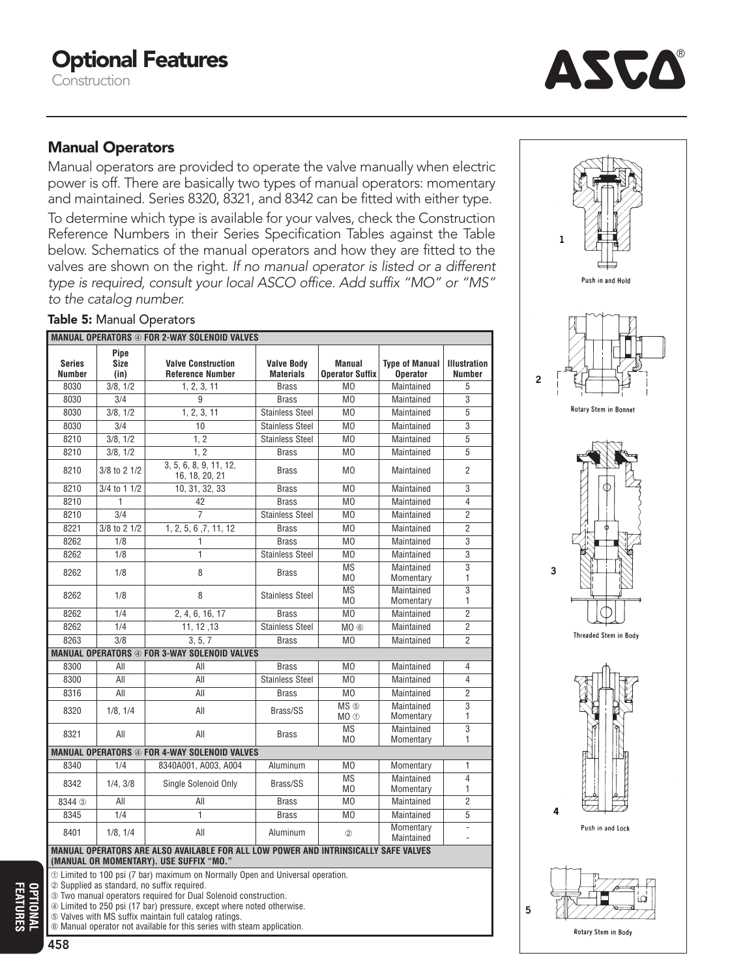# **Optional Features**

**Construction** 



### **Manual Operators**

Manual operators are provided to operate the valve manually when electric power is off. There are basically two types of manual operators: momentary and maintained. Series 8320, 8321, and 8342 can be fitted with either type.

To determine which type is available for your valves, check the Construction Reference Numbers in their Series Specification Tables against the Table below. Schematics of the manual operators and how they are fitted to the valves are shown on the right. *If no manual operator is listed or a different type is required, consult your local ASCO office. Add suffix "MO" or "MS" to the catalog number.*

|                                |                             | <b>MANUAL OPERATORS 4 FOR 2-WAY SOLENOID VALVES</b>                                                                                                                                                                                                                                                                                                                                                             |                                       |                                          |                                          |                                      |
|--------------------------------|-----------------------------|-----------------------------------------------------------------------------------------------------------------------------------------------------------------------------------------------------------------------------------------------------------------------------------------------------------------------------------------------------------------------------------------------------------------|---------------------------------------|------------------------------------------|------------------------------------------|--------------------------------------|
| <b>Series</b><br><b>Number</b> | Pipe<br><b>Size</b><br>(in) | <b>Valve Construction</b><br><b>Reference Number</b>                                                                                                                                                                                                                                                                                                                                                            | <b>Valve Body</b><br><b>Materials</b> | Manual<br><b>Operator Suffix</b>         | <b>Type of Manual</b><br><b>Operator</b> | <b>Illustration</b><br><b>Number</b> |
| 8030                           | 3/8, 1/2                    | 1, 2, 3, 11                                                                                                                                                                                                                                                                                                                                                                                                     | <b>Brass</b>                          | M <sub>0</sub>                           | Maintained                               | 5                                    |
| 8030                           | 3/4                         | $\overline{9}$                                                                                                                                                                                                                                                                                                                                                                                                  | <b>Brass</b>                          | M <sub>0</sub>                           | Maintained                               | 3                                    |
| 8030                           | 3/8, 1/2                    | 1, 2, 3, 11                                                                                                                                                                                                                                                                                                                                                                                                     | <b>Stainless Steel</b>                | M <sub>0</sub>                           | Maintained                               | 5                                    |
| 8030                           | 3/4                         | 10                                                                                                                                                                                                                                                                                                                                                                                                              | <b>Stainless Steel</b>                | M <sub>0</sub>                           | Maintained                               | 3                                    |
| 8210                           | 3/8, 1/2                    | 1, 2                                                                                                                                                                                                                                                                                                                                                                                                            | <b>Stainless Steel</b>                | M <sub>0</sub>                           | Maintained                               | 5                                    |
| 8210                           | 3/8, 1/2                    | 1.2                                                                                                                                                                                                                                                                                                                                                                                                             | <b>Brass</b>                          | M <sub>0</sub>                           | Maintained                               | 5                                    |
| 8210                           | 3/8 to 2 1/2                | 3, 5, 6, 8, 9, 11, 12,<br>16, 18, 20, 21                                                                                                                                                                                                                                                                                                                                                                        | <b>Brass</b>                          | M <sub>0</sub>                           | Maintained                               | $\overline{2}$                       |
| 8210                           | 3/4 to 1 1/2                | 10, 31, 32, 33                                                                                                                                                                                                                                                                                                                                                                                                  | <b>Brass</b>                          | M <sub>0</sub>                           | Maintained                               | 3                                    |
| 8210                           | 1                           | 42                                                                                                                                                                                                                                                                                                                                                                                                              | <b>Brass</b>                          | M <sub>0</sub>                           | Maintained                               | 4                                    |
| 8210                           | 3/4                         | $\overline{7}$                                                                                                                                                                                                                                                                                                                                                                                                  | <b>Stainless Steel</b>                | M <sub>0</sub>                           | Maintained                               | $\overline{2}$                       |
| 8221                           | 3/8 to 2 1/2                | 1, 2, 5, 6, 7, 11, 12                                                                                                                                                                                                                                                                                                                                                                                           | <b>Brass</b>                          | M <sub>0</sub>                           | Maintained                               | $\overline{2}$                       |
| 8262                           | 1/8                         | 1                                                                                                                                                                                                                                                                                                                                                                                                               | <b>Brass</b>                          | M <sub>0</sub>                           | Maintained                               | 3                                    |
| 8262                           | 1/8                         | $\overline{1}$                                                                                                                                                                                                                                                                                                                                                                                                  | <b>Stainless Steel</b>                | M <sub>0</sub>                           | Maintained                               | $\overline{3}$                       |
| 8262                           | 1/8                         | 8                                                                                                                                                                                                                                                                                                                                                                                                               | <b>Brass</b>                          | <b>MS</b><br>M <sub>0</sub>              | Maintained<br>Momentary                  | $\overline{3}$<br>1                  |
| 8262                           | 1/8                         | 8                                                                                                                                                                                                                                                                                                                                                                                                               | <b>Stainless Steel</b>                | $\overline{\text{MS}}$<br>M <sub>0</sub> | Maintained<br>Momentary                  | $\overline{\overline{3}}$<br>1       |
| 8262                           | 1/4                         | 2, 4, 6, 16, 17                                                                                                                                                                                                                                                                                                                                                                                                 | <b>Brass</b>                          | M <sub>0</sub>                           | Maintained                               | $\overline{2}$                       |
| 8262                           | 1/4                         | 11, 12, 13                                                                                                                                                                                                                                                                                                                                                                                                      | <b>Stainless Steel</b>                | $MO$ $\odot$                             | Maintained                               | $\overline{2}$                       |
| 8263                           | 3/8                         | 3, 5, 7                                                                                                                                                                                                                                                                                                                                                                                                         | <b>Brass</b>                          | M <sub>0</sub>                           | Maintained                               | $\overline{2}$                       |
|                                |                             | <b>MANUAL OPERATORS 4 FOR 3-WAY SOLENOID VALVES</b>                                                                                                                                                                                                                                                                                                                                                             |                                       |                                          |                                          |                                      |
| 8300                           | All                         | All                                                                                                                                                                                                                                                                                                                                                                                                             | <b>Brass</b>                          | M <sub>0</sub>                           | Maintained                               | 4                                    |
| 8300                           | All                         | All                                                                                                                                                                                                                                                                                                                                                                                                             | <b>Stainless Steel</b>                | M <sub>0</sub>                           | Maintained                               | 4                                    |
| 8316                           | All                         | All                                                                                                                                                                                                                                                                                                                                                                                                             | <b>Brass</b>                          | M <sub>0</sub>                           | Maintained                               | $\overline{2}$                       |
| 8320                           | 1/8, 1/4                    | All                                                                                                                                                                                                                                                                                                                                                                                                             | Brass/SS                              | $MS$ $5$<br>$MO$ ①                       | Maintained<br>Momentary                  | $\overline{3}$<br>1                  |
| 8321                           | All                         | All                                                                                                                                                                                                                                                                                                                                                                                                             | <b>Brass</b>                          | <b>MS</b><br>M <sub>0</sub>              | Maintained<br>Momentary                  | 3<br>1                               |
|                                |                             | <b>MANUAL OPERATORS 4 FOR 4-WAY SOLENOID VALVES</b>                                                                                                                                                                                                                                                                                                                                                             |                                       |                                          |                                          |                                      |
| 8340                           | 1/4                         | 8340A001, A003, A004                                                                                                                                                                                                                                                                                                                                                                                            | Aluminum                              | M <sub>0</sub>                           | Momentary                                | 1                                    |
| 8342                           | 1/4, 3/8                    | Single Solenoid Only                                                                                                                                                                                                                                                                                                                                                                                            | Brass/SS                              | <b>MS</b><br>MО                          | Maintained<br>Momentary                  | 4<br>1                               |
| 8344 3                         | All                         | All                                                                                                                                                                                                                                                                                                                                                                                                             | <b>Brass</b>                          | M <sub>0</sub>                           | Maintained                               | $\overline{2}$                       |
| 8345                           | 1/4                         | 1                                                                                                                                                                                                                                                                                                                                                                                                               | <b>Brass</b>                          | M <sub>0</sub>                           | Maintained                               | 5                                    |
| 8401                           | 1/8, 1/4                    | All                                                                                                                                                                                                                                                                                                                                                                                                             | Aluminum                              | $\circled{2}$                            | Momentary<br>Maintained                  | ä,<br>$\overline{\phantom{a}}$       |
|                                |                             | MANUAL OPERATORS ARE ALSO AVAILABLE FOR ALL LOW POWER AND INTRINSICALLY SAFE VALVES<br>(MANUAL OR MOMENTARY). USE SUFFIX "MO."                                                                                                                                                                                                                                                                                  |                                       |                                          |                                          |                                      |
|                                |                             | 10 Limited to 100 psi (7 bar) maximum on Normally Open and Universal operation.<br>2 Supplied as standard, no suffix required.<br>3 Two manual operators required for Dual Solenoid construction.<br>4 Limited to 250 psi (17 bar) pressure, except where noted otherwise.<br>© Valves with MS suffix maintain full catalog ratings.<br>6 Manual operator not available for this series with steam application. |                                       |                                          |                                          |                                      |

### **Table 5:** Manual Operators





5